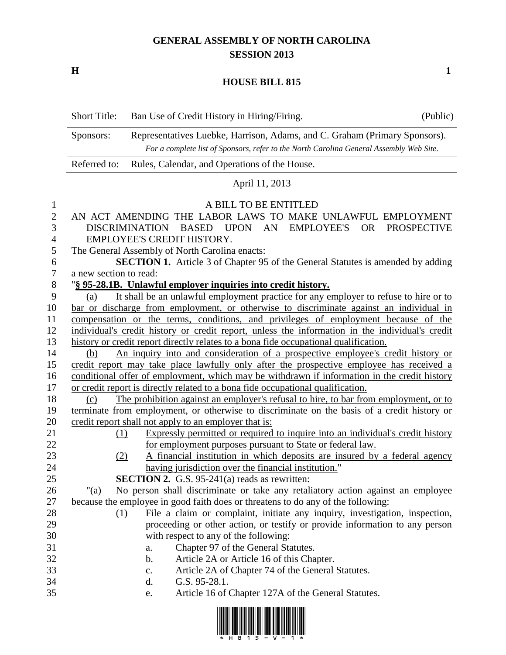## **GENERAL ASSEMBLY OF NORTH CAROLINA SESSION 2013**

**H 1**

## **HOUSE BILL 815**

Short Title: Ban Use of Credit History in Hiring/Firing. (Public)

|                       | Representatives Luebke, Harrison, Adams, and C. Graham (Primary Sponsors).<br>Sponsors:<br>For a complete list of Sponsors, refer to the North Carolina General Assembly Web Site. |                                                                                                                                        |  |  |
|-----------------------|------------------------------------------------------------------------------------------------------------------------------------------------------------------------------------|----------------------------------------------------------------------------------------------------------------------------------------|--|--|
|                       | Referred to:<br>Rules, Calendar, and Operations of the House.                                                                                                                      |                                                                                                                                        |  |  |
|                       | April 11, 2013                                                                                                                                                                     |                                                                                                                                        |  |  |
| 1                     |                                                                                                                                                                                    | A BILL TO BE ENTITLED                                                                                                                  |  |  |
| $\sqrt{2}$            | AN ACT AMENDING THE LABOR LAWS TO MAKE UNLAWFUL EMPLOYMENT                                                                                                                         |                                                                                                                                        |  |  |
| 3                     | DISCRIMINATION BASED UPON AN<br>EMPLOYEE'S OR PROSPECTIVE                                                                                                                          |                                                                                                                                        |  |  |
| $\overline{4}$        | EMPLOYEE'S CREDIT HISTORY.                                                                                                                                                         |                                                                                                                                        |  |  |
| 5                     | The General Assembly of North Carolina enacts:                                                                                                                                     |                                                                                                                                        |  |  |
| 6<br>$\boldsymbol{7}$ | <b>SECTION 1.</b> Article 3 of Chapter 95 of the General Statutes is amended by adding                                                                                             |                                                                                                                                        |  |  |
| $8\,$                 | a new section to read:                                                                                                                                                             |                                                                                                                                        |  |  |
| 9                     | "§ 95-28.1B. Unlawful employer inquiries into credit history.<br>It shall be an unlawful employment practice for any employer to refuse to hire or to<br>(a)                       |                                                                                                                                        |  |  |
| 10                    | bar or discharge from employment, or otherwise to discriminate against an individual in                                                                                            |                                                                                                                                        |  |  |
| 11                    | compensation or the terms, conditions, and privileges of employment because of the                                                                                                 |                                                                                                                                        |  |  |
| 12                    | individual's credit history or credit report, unless the information in the individual's credit                                                                                    |                                                                                                                                        |  |  |
| 13                    | history or credit report directly relates to a bona fide occupational qualification.                                                                                               |                                                                                                                                        |  |  |
| 14                    | An inquiry into and consideration of a prospective employee's credit history or<br>(b)                                                                                             |                                                                                                                                        |  |  |
| 15                    | credit report may take place lawfully only after the prospective employee has received a                                                                                           |                                                                                                                                        |  |  |
| 16                    | conditional offer of employment, which may be withdrawn if information in the credit history                                                                                       |                                                                                                                                        |  |  |
| 17                    | or credit report is directly related to a bona fide occupational qualification.                                                                                                    |                                                                                                                                        |  |  |
| 18                    | The prohibition against an employer's refusal to hire, to bar from employment, or to<br>(c)                                                                                        |                                                                                                                                        |  |  |
| 19                    | terminate from employment, or otherwise to discriminate on the basis of a credit history or                                                                                        |                                                                                                                                        |  |  |
| 20                    |                                                                                                                                                                                    | credit report shall not apply to an employer that is:                                                                                  |  |  |
| 21<br>22              | (1)                                                                                                                                                                                | Expressly permitted or required to inquire into an individual's credit history                                                         |  |  |
| 23                    | (2)                                                                                                                                                                                | for employment purposes pursuant to State or federal law.<br>A financial institution in which deposits are insured by a federal agency |  |  |
| 24                    |                                                                                                                                                                                    | having jurisdiction over the financial institution."                                                                                   |  |  |
| 25                    |                                                                                                                                                                                    | <b>SECTION 2.</b> G.S. 95-241(a) reads as rewritten:                                                                                   |  |  |
| 26                    | "(a)                                                                                                                                                                               | No person shall discriminate or take any retaliatory action against an employee                                                        |  |  |
| $27\,$                |                                                                                                                                                                                    | because the employee in good faith does or threatens to do any of the following:                                                       |  |  |
| 28                    | (1)                                                                                                                                                                                | File a claim or complaint, initiate any inquiry, investigation, inspection,                                                            |  |  |
| 29                    |                                                                                                                                                                                    | proceeding or other action, or testify or provide information to any person                                                            |  |  |
| 30                    |                                                                                                                                                                                    | with respect to any of the following:                                                                                                  |  |  |
| 31                    |                                                                                                                                                                                    | Chapter 97 of the General Statutes.<br>a.                                                                                              |  |  |
| 32                    |                                                                                                                                                                                    | Article 2A or Article 16 of this Chapter.<br>b.                                                                                        |  |  |
| 33                    |                                                                                                                                                                                    | Article 2A of Chapter 74 of the General Statutes.<br>$\mathbf{c}$ .                                                                    |  |  |
| 34                    |                                                                                                                                                                                    | G.S. 95-28.1.<br>d.                                                                                                                    |  |  |
| 35                    |                                                                                                                                                                                    | Article 16 of Chapter 127A of the General Statutes.<br>e.                                                                              |  |  |